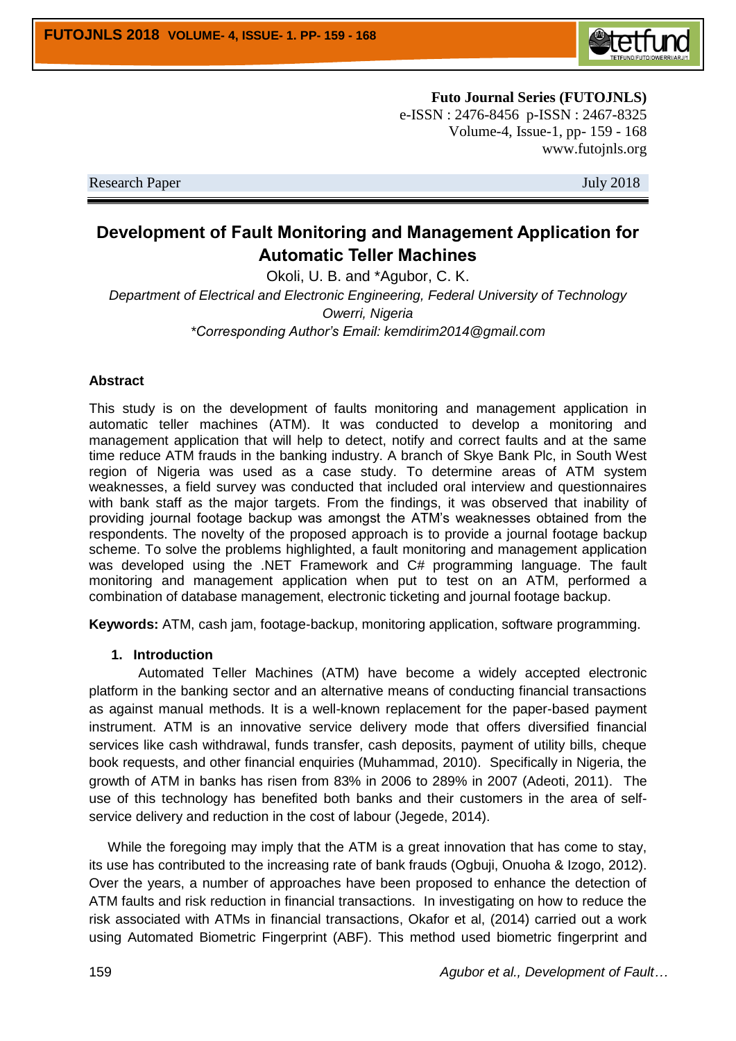

**Futo Journal Series (FUTOJNLS)** e-ISSN : 2476-8456 p-ISSN : 2467-8325 Volume-4, Issue-1, pp- 159 - 168 www.futojnls.org

Research Paper July 2018

# **Development of Fault Monitoring and Management Application for Automatic Teller Machines**

Okoli, U. B. and \*Agubor, C. K. *Department of Electrical and Electronic Engineering, Federal University of Technology Owerri, Nigeria \*Corresponding Author's Email: kemdirim2014@gmail.com*

#### **Abstract**

This study is on the development of faults monitoring and management application in automatic teller machines (ATM). It was conducted to develop a monitoring and management application that will help to detect, notify and correct faults and at the same time reduce ATM frauds in the banking industry. A branch of Skye Bank Plc, in South West region of Nigeria was used as a case study. To determine areas of ATM system weaknesses, a field survey was conducted that included oral interview and questionnaires with bank staff as the major targets. From the findings, it was observed that inability of providing journal footage backup was amongst the ATM's weaknesses obtained from the respondents. The novelty of the proposed approach is to provide a journal footage backup scheme. To solve the problems highlighted, a fault monitoring and management application was developed using the .NET Framework and C# programming language. The fault monitoring and management application when put to test on an ATM, performed a combination of database management, electronic ticketing and journal footage backup.

**Keywords:** ATM, cash jam, footage-backup, monitoring application, software programming.

#### **1. Introduction**

 Automated Teller Machines (ATM) have become a widely accepted electronic platform in the banking sector and an alternative means of conducting financial transactions as against manual methods. It is a well-known replacement for the paper-based payment instrument. ATM is an innovative service delivery mode that offers diversified financial services like cash withdrawal, funds transfer, cash deposits, payment of utility bills, cheque book requests, and other financial enquiries (Muhammad, 2010). Specifically in Nigeria, the growth of ATM in banks has risen from 83% in 2006 to 289% in 2007 (Adeoti, 2011).The use of this technology has benefited both banks and their customers in the area of selfservice delivery and reduction in the cost of labour (Jegede, 2014).

 While the foregoing may imply that the ATM is a great innovation that has come to stay, its use has contributed to the increasing rate of bank frauds (Ogbuji, Onuoha & Izogo, 2012). Over the years, a number of approaches have been proposed to enhance the detection of ATM faults and risk reduction in financial transactions. In investigating on how to reduce the risk associated with ATMs in financial transactions, Okafor et al, (2014) carried out a work using Automated Biometric Fingerprint (ABF). This method used biometric fingerprint and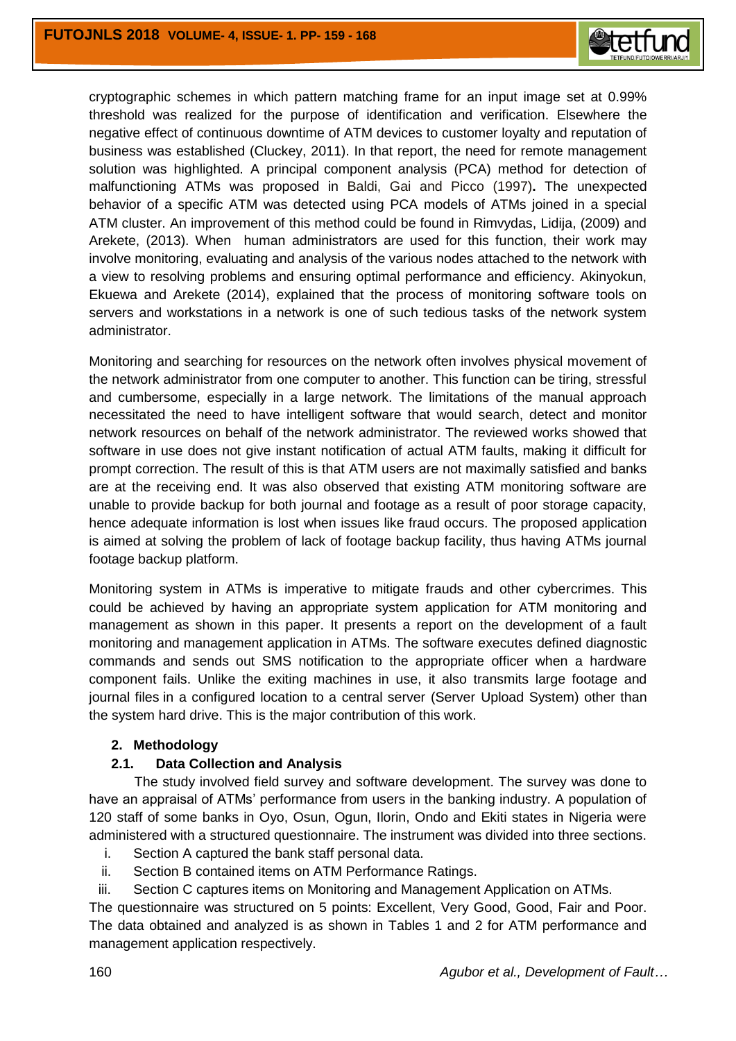

cryptographic schemes in which pattern matching frame for an input image set at 0.99% threshold was realized for the purpose of identification and verification. Elsewhere the negative effect of continuous downtime of ATM devices to customer loyalty and reputation of business was established (Cluckey, 2011). In that report, the need for remote management solution was highlighted. A principal component analysis (PCA) method for detection of malfunctioning ATMs was proposed in Baldi, Gai and Picco (1997)**.** The unexpected behavior of a specific ATM was detected using PCA models of ATMs joined in a special ATM cluster. An improvement of this method could be found in Rimvydas, Lidija, (2009) and Arekete, (2013). When human administrators are used for this function, their work may involve monitoring, evaluating and analysis of the various nodes attached to the network with a view to resolving problems and ensuring optimal performance and efficiency. Akinyokun, Ekuewa and Arekete (2014), explained that the process of monitoring software tools on servers and workstations in a network is one of such tedious tasks of the network system administrator.

Monitoring and searching for resources on the network often involves physical movement of the network administrator from one computer to another. This function can be tiring, stressful and cumbersome, especially in a large network. The limitations of the manual approach necessitated the need to have intelligent software that would search, detect and monitor network resources on behalf of the network administrator. The reviewed works showed that software in use does not give instant notification of actual ATM faults, making it difficult for prompt correction. The result of this is that ATM users are not maximally satisfied and banks are at the receiving end. It was also observed that existing ATM monitoring software are unable to provide backup for both journal and footage as a result of poor storage capacity, hence adequate information is lost when issues like fraud occurs. The proposed application is aimed at solving the problem of lack of footage backup facility, thus having ATMs journal footage backup platform.

Monitoring system in ATMs is imperative to mitigate frauds and other cybercrimes. This could be achieved by having an appropriate system application for ATM monitoring and management as shown in this paper. It presents a report on the development of a fault monitoring and management application in ATMs. The software executes defined diagnostic commands and sends out SMS notification to the appropriate officer when a hardware component fails. Unlike the exiting machines in use, it also transmits large footage and journal files in a configured location to a central server (Server Upload System) other than the system hard drive. This is the major contribution of this work.

#### **2. Methodology**

### **2.1. Data Collection and Analysis**

 The study involved field survey and software development. The survey was done to have an appraisal of ATMs' performance from users in the banking industry. A population of 120 staff of some banks in Oyo, Osun, Ogun, Ilorin, Ondo and Ekiti states in Nigeria were administered with a structured questionnaire. The instrument was divided into three sections.

- i. Section A captured the bank staff personal data.
- ii. Section B contained items on ATM Performance Ratings.
- iii. Section C captures items on Monitoring and Management Application on ATMs.

The questionnaire was structured on 5 points: Excellent, Very Good, Good, Fair and Poor. The data obtained and analyzed is as shown in Tables 1 and 2 for ATM performance and management application respectively.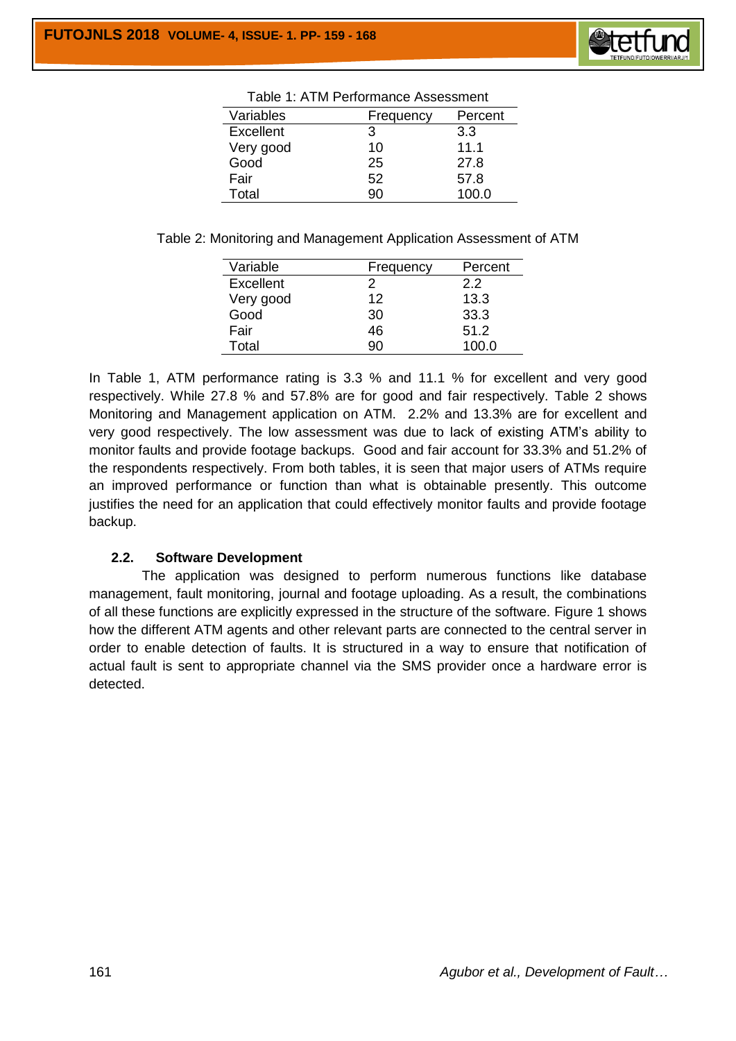

|           | Table T. ATM Performance Assessment |         |
|-----------|-------------------------------------|---------|
| Variables | Frequency                           | Percent |
| Excellent | 3                                   | 3.3     |
| Very good | 10                                  | 11.1    |
| Good      | 25                                  | 27.8    |
| Fair      | 52                                  | 57.8    |
| Total     | 90                                  | 100.0   |

Table 2: Monitoring and Management Application Assessment of ATM

| Variable  | Frequency | Percent |
|-----------|-----------|---------|
| Excellent | 2         | 2.2     |
| Very good | 12        | 13.3    |
| Good      | 30        | 33.3    |
| Fair      | 46        | 51.2    |
| Total     | 90        | 100.0   |

In Table 1, ATM performance rating is 3.3 % and 11.1 % for excellent and very good respectively. While 27.8 % and 57.8% are for good and fair respectively. Table 2 shows Monitoring and Management application on ATM. 2.2% and 13.3% are for excellent and very good respectively. The low assessment was due to lack of existing ATM's ability to monitor faults and provide footage backups. Good and fair account for 33.3% and 51.2% of the respondents respectively. From both tables, it is seen that major users of ATMs require an improved performance or function than what is obtainable presently. This outcome justifies the need for an application that could effectively monitor faults and provide footage backup.

# **2.2. Software Development**

 The application was designed to perform numerous functions like database management, fault monitoring, journal and footage uploading. As a result, the combinations of all these functions are explicitly expressed in the structure of the software. Figure 1 shows how the different ATM agents and other relevant parts are connected to the central server in order to enable detection of faults. It is structured in a way to ensure that notification of actual fault is sent to appropriate channel via the SMS provider once a hardware error is detected.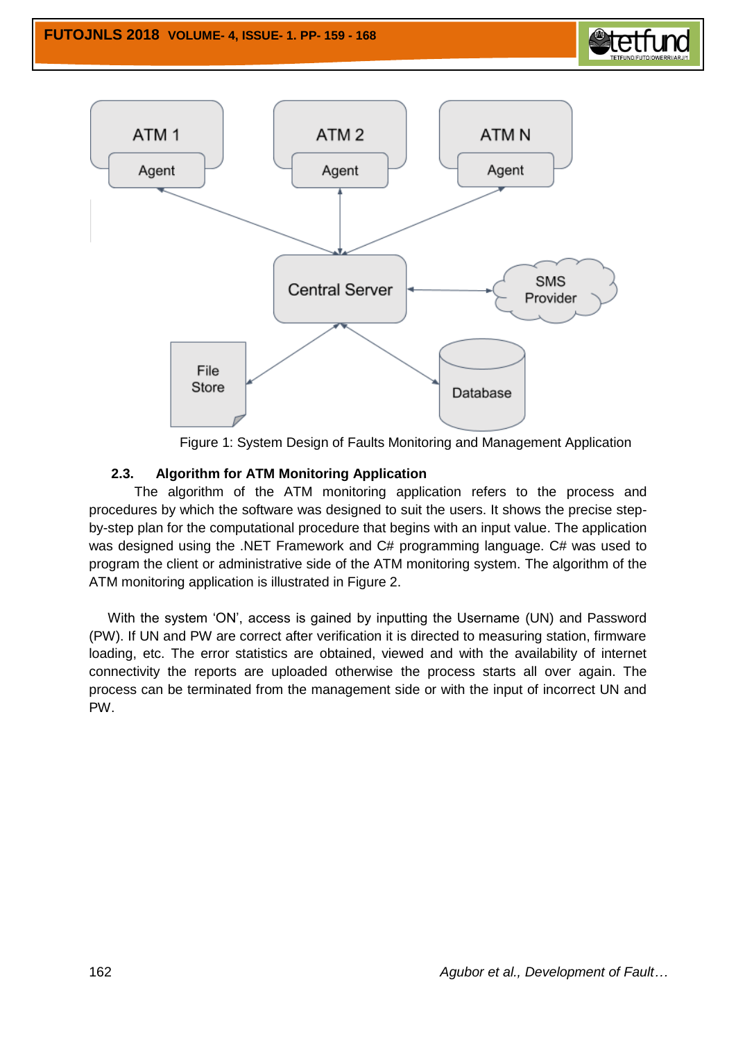



Figure 1: System Design of Faults Monitoring and Management Application

# **2.3. Algorithm for ATM Monitoring Application**

 The algorithm of the ATM monitoring application refers to the process and procedures by which the software was designed to suit the users. It shows the precise stepby-step plan for the computational procedure that begins with an input value. The application was designed using the .NET Framework and C# programming language. C# was used to program the client or administrative side of the ATM monitoring system. The algorithm of the ATM monitoring application is illustrated in Figure 2.

 With the system 'ON', access is gained by inputting the Username (UN) and Password (PW). If UN and PW are correct after verification it is directed to measuring station, firmware loading, etc. The error statistics are obtained, viewed and with the availability of internet connectivity the reports are uploaded otherwise the process starts all over again. The process can be terminated from the management side or with the input of incorrect UN and PW.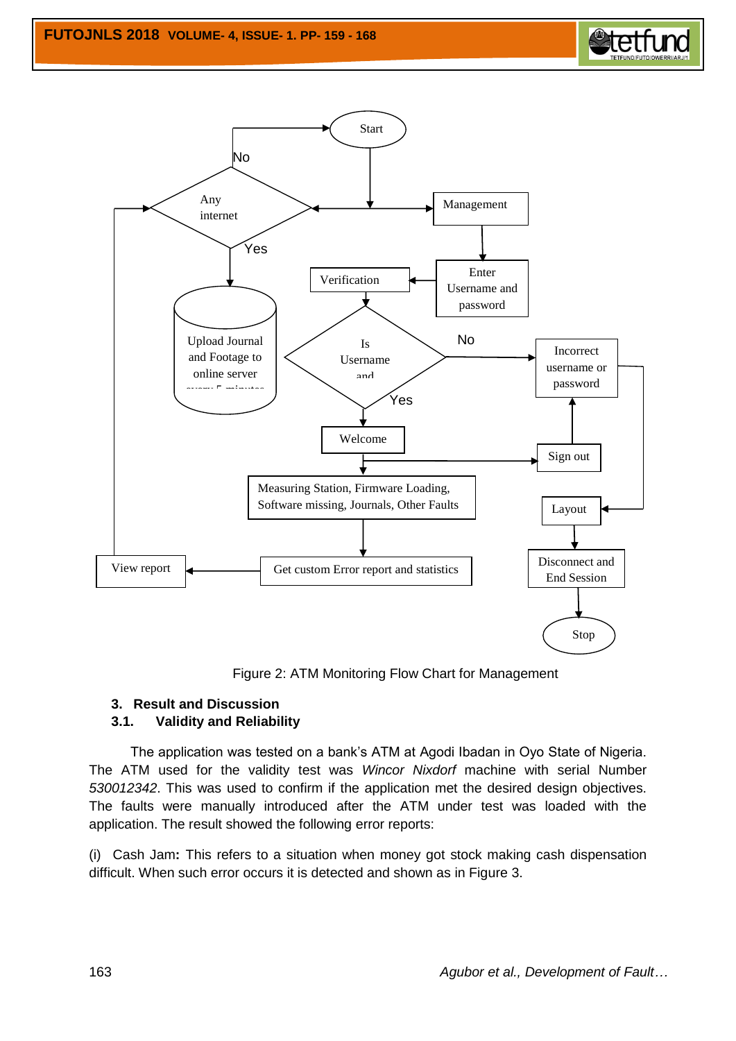



Figure 2: ATM Monitoring Flow Chart for Management

## **3. Result and Discussion**

### **3.1. Validity and Reliability**

 The application was tested on a bank's ATM at Agodi Ibadan in Oyo State of Nigeria. The ATM used for the validity test was *Wincor Nixdorf* machine with serial Number *530012342*. This was used to confirm if the application met the desired design objectives. The faults were manually introduced after the ATM under test was loaded with the application. The result showed the following error reports:

(i)Cash Jam**:** This refers to a situation when money got stock making cash dispensation difficult. When such error occurs it is detected and shown as in Figure 3.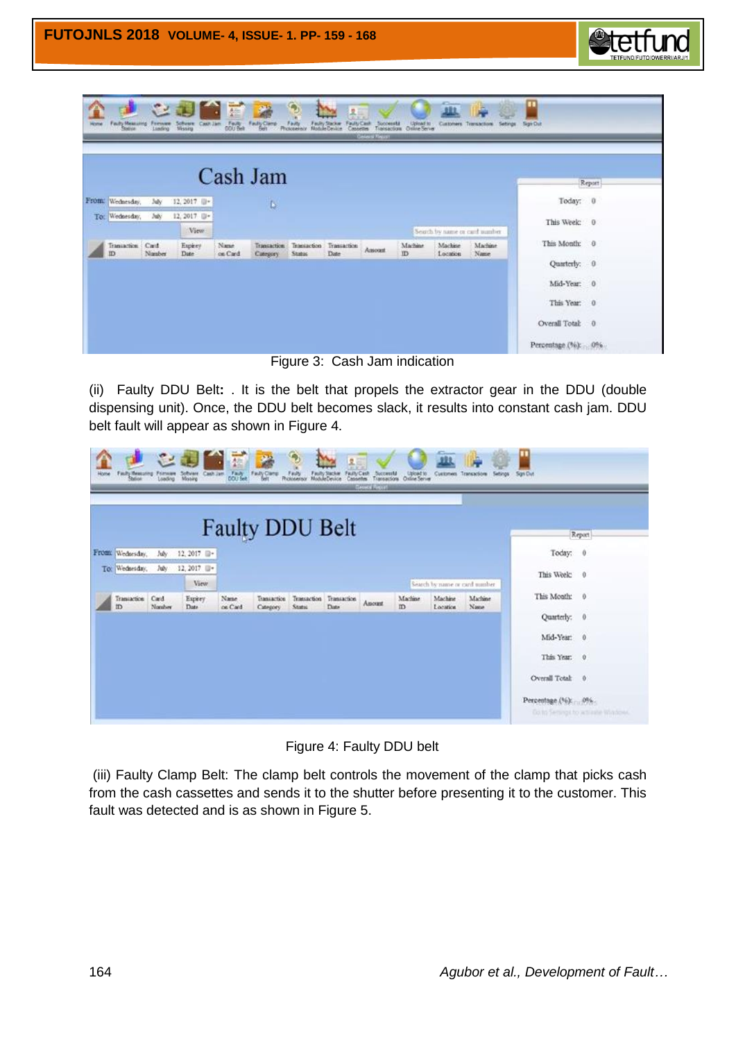

Figure 3: Cash Jam indication

(ii) Faulty DDU Belt**:** . It is the belt that propels the extractor gear in the DDU (double dispensing unit). Once, the DDU belt becomes slack, it results into constant cash jam. DDU belt fault will appear as shown in Figure 4.

| Home | <b>Fash Measuing Forsem</b><br>Station Loading |                | こす<br>Software Cash Jam | 蠹               | <b>Part</b><br>Fault Fault Care | Finity<br>Photosensor                    | 品.<br>Faulty Cash<br>Faulty Stacker<br>Module Device | Successful<br>Transactions<br><b>Encircle Entitle</b> | Listead to    | Customers Teansactions         | Settings        | Sign Dut           |                                   |
|------|------------------------------------------------|----------------|-------------------------|-----------------|---------------------------------|------------------------------------------|------------------------------------------------------|-------------------------------------------------------|---------------|--------------------------------|-----------------|--------------------|-----------------------------------|
|      |                                                |                |                         |                 | <b>Faulty DDU Belt</b>          |                                          |                                                      |                                                       |               |                                |                 |                    | Report                            |
|      | From: Wednesday.                               | July           | 12, 2017 日              |                 |                                 |                                          |                                                      |                                                       |               |                                |                 | Today: 0           |                                   |
|      | To: Wednesday,                                 | July           | 12, 2017 0 -            |                 |                                 |                                          |                                                      |                                                       |               |                                |                 | This Week: 0       |                                   |
|      |                                                |                | View                    |                 |                                 |                                          |                                                      |                                                       |               | Search by name or card number. |                 |                    |                                   |
|      | Transaction<br>m                               | Card<br>Nauber | Expirey<br>Date         | Name<br>on Card | Transaction<br>Category         | Transaction Transaction<br><b>States</b> | Date                                                 | Amount                                                | Machine<br>ID | Machine<br>Location            | Machine<br>Name | This Month: 0      |                                   |
|      |                                                |                |                         |                 |                                 |                                          |                                                      |                                                       |               |                                |                 | Quarterly: 0       |                                   |
|      |                                                |                |                         |                 |                                 |                                          |                                                      |                                                       |               |                                |                 | Mid-Year: 0        |                                   |
|      |                                                |                |                         |                 |                                 |                                          |                                                      |                                                       |               |                                |                 | This Year: 0       |                                   |
|      |                                                |                |                         |                 |                                 |                                          |                                                      |                                                       |               |                                |                 | Overall Total: 0   |                                   |
|      |                                                |                |                         |                 |                                 |                                          |                                                      |                                                       |               |                                |                 | Percentage (%): 0% | Octo Semings to activitie Wisdows |

Figure 4: Faulty DDU belt

(iii) Faulty Clamp Belt: The clamp belt controls the movement of the clamp that picks cash from the cash cassettes and sends it to the shutter before presenting it to the customer. This fault was detected and is as shown in Figure 5.

etetfu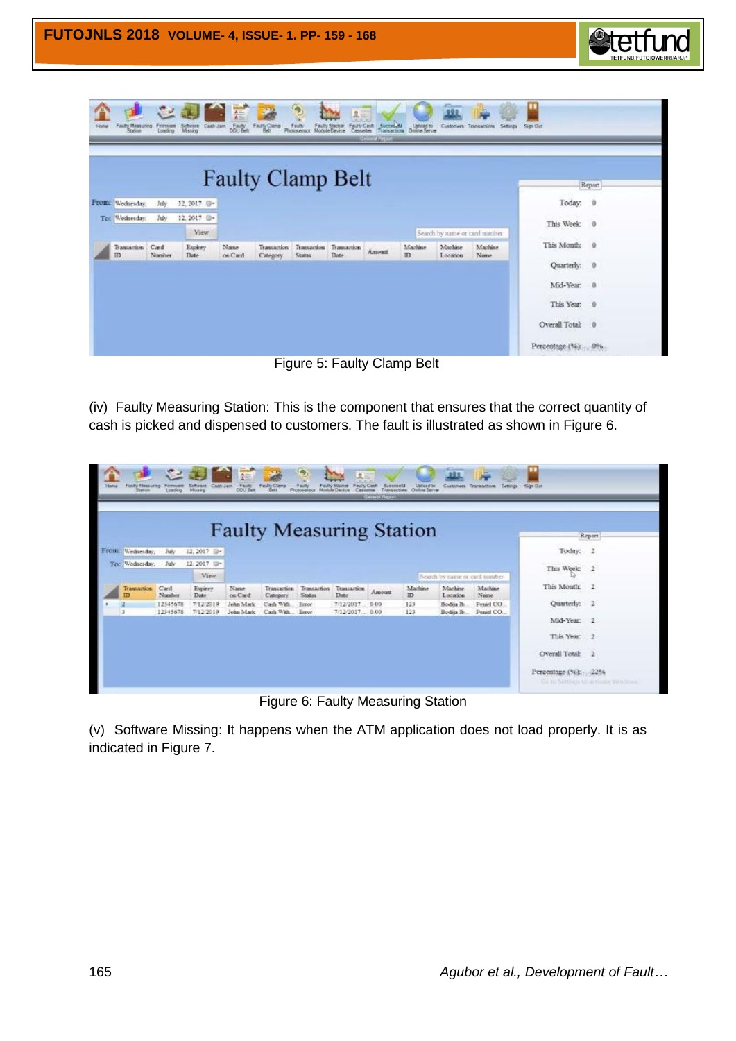

**Figure 5: Faulty Clamp Belt** 

(iv) Faulty Measuring Station: This is the component that ensures that the correct quantity of cash is picked and dispensed to customers. The fault is illustrated as shown in Figure 6.

|     |                         |                      |                        |                        | <b>Faulty Measuring Station</b> |                       |                        |              |                |                                |                          |                     | Report                          |
|-----|-------------------------|----------------------|------------------------|------------------------|---------------------------------|-----------------------|------------------------|--------------|----------------|--------------------------------|--------------------------|---------------------|---------------------------------|
|     | From: Wednesday         | Juh                  | 12, 2017 日:            |                        |                                 |                       |                        |              |                |                                |                          | Today:              | $\overline{z}$                  |
| To: | Wednesday,              | Jub.                 | 12, 2017 日*            |                        |                                 |                       |                        |              |                |                                |                          | This Week:          | 2                               |
|     |                         |                      | View.                  |                        |                                 |                       |                        |              |                | Search by name or card number- |                          |                     |                                 |
|     | <b>Transaction</b><br>m | Card<br>Number       | Expirey<br>Date        | Name<br>on Card        | Transaction<br>Category         | Transaction<br>Stopes | Transaction<br>Date    | Amount       | Machine<br>ID. | Machine<br>Location            | Machine<br>Name          | This Month:         | $\overline{z}$                  |
|     | з                       | 12345678<br>12345678 | 7/12/2019<br>7/12/2019 | John Mark<br>John Mark | Cash With<br>Cash With          | Error                 | 7/12/2017<br>7/12/2017 | 0.00<br>0.00 | 123<br>123     | Bodija Jb.                     | Peniel CO:<br>Peniel CO. | Ouarterly:          | $\overline{\phantom{a}}$        |
|     |                         |                      |                        |                        |                                 | Error                 |                        |              |                | Bodin Ib.                      |                          | Mid-Year: 2         |                                 |
|     |                         |                      |                        |                        |                                 |                       |                        |              |                |                                |                          | This Year: 2        |                                 |
|     |                         |                      |                        |                        |                                 |                       |                        |              |                |                                |                          | Overall Total:      | 2                               |
|     |                         |                      |                        |                        |                                 |                       |                        |              |                |                                |                          | Percentage (%): 22% |                                 |
|     |                         |                      |                        |                        |                                 |                       |                        |              |                |                                |                          |                     | Ge to bettern to accome Woolcom |

Figure 6: Faulty Measuring Station

(v) Software Missing: It happens when the ATM application does not load properly. It is as indicated in Figure 7.

*<u>etetfu</u>*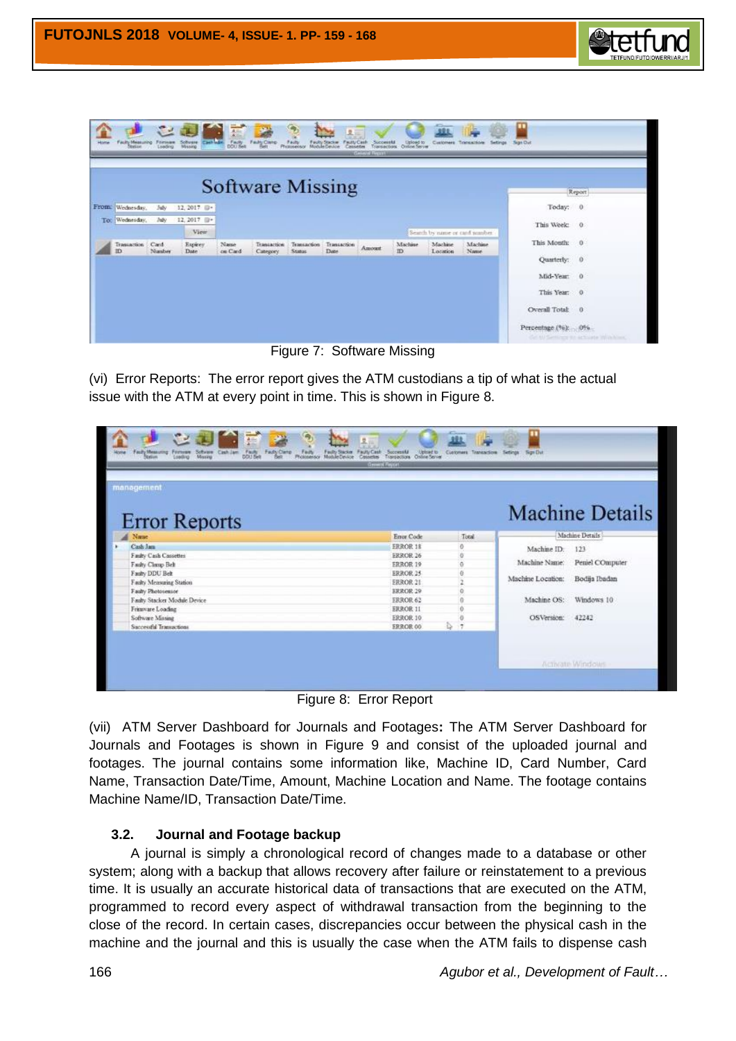

| To: Wednesday,           | July<br>July   | 12, 2017 0-        |                 | <b>Software Missing</b> |               |                                 |        |               |                                |                 |                  | Report |
|--------------------------|----------------|--------------------|-----------------|-------------------------|---------------|---------------------------------|--------|---------------|--------------------------------|-----------------|------------------|--------|
| From: Wednesday.         |                |                    |                 |                         |               |                                 |        |               |                                |                 |                  |        |
|                          |                |                    |                 |                         |               |                                 |        |               |                                |                 | Today: 0         |        |
|                          |                | $12,2017$ $\Box$ - |                 |                         |               |                                 |        |               |                                |                 | This Week: 0     |        |
|                          |                | View               |                 |                         |               |                                 |        |               | Search by name or card number. |                 |                  |        |
| Transaction<br><b>TD</b> | Card<br>Nanber | Espirey<br>Date    | Name<br>on Card | Transaction<br>Category | <b>Status</b> | Transaction Transaction<br>Date | Amount | Machine<br>ID | Machine<br>Location            | Machine<br>Name | This Month: 0    |        |
|                          |                |                    |                 |                         |               |                                 |        |               |                                |                 | Quarterly: 0     |        |
|                          |                |                    |                 |                         |               |                                 |        |               |                                |                 | Mid-Year: 0      |        |
|                          |                |                    |                 |                         |               |                                 |        |               |                                |                 | This Year: 0     |        |
|                          |                |                    |                 |                         |               |                                 |        |               |                                |                 | Overall Total: 0 |        |

**Figure 7: Software Missing** 

(vi) Error Reports: The error report gives the ATM custodians a tip of what is the actual issue with the ATM at every point in time. This is shown in Figure 8.

| management                   |                 |                   |                   |                        |
|------------------------------|-----------------|-------------------|-------------------|------------------------|
| <b>Error Reports</b>         |                 |                   |                   | <b>Machine Details</b> |
| Name                         | Error Code      | Total             |                   | Machine Details        |
| Cash Jam                     | <b>FRROR 18</b> | $\ddot{\text{o}}$ | Machine ID:       | 123                    |
| Fashy Cash Cassettes         | <b>FRROR 26</b> |                   |                   |                        |
| Fashy Cloup Belt             | <b>ERROR 19</b> | n                 | Machine Name:     | Peniel COmputer        |
| Faulty DDU Belt              | ERROR 25        |                   |                   |                        |
| Fashy Measuring Station      | <b>ERROR 21</b> |                   | Machine Location: | Bodija Ibadan          |
| Fashy Photosensor            | <b>ERROR 29</b> | a                 |                   |                        |
| Faulty Stacker Module Device | <b>ERROR 62</b> |                   | Machine OS:       | Windows 10             |
| Frimware Loading             | <b>ERROR 11</b> |                   |                   |                        |
| Software Missing             | ERROR 10        |                   | OS Version:       | 42242                  |
| Successful Transactions      | <b>ERROR 00</b> | Q                 |                   |                        |

**Figure 8: Error Report** 

(vii) ATM Server Dashboard for Journals and Footages**:** The ATM Server Dashboard for Journals and Footages is shown in Figure 9 and consist of the uploaded journal and footages. The journal contains some information like, Machine ID, Card Number, Card Name, Transaction Date/Time, Amount, Machine Location and Name. The footage contains Machine Name/ID, Transaction Date/Time.

# **3.2. Journal and Footage backup**

 A journal is simply a chronological record of changes made to a database or other system; along with a backup that allows recovery after failure or reinstatement to a previous time. It is usually an accurate historical data of transactions that are executed on the ATM, programmed to record every aspect of withdrawal transaction from the beginning to the close of the record. In certain cases, discrepancies occur between the physical cash in the machine and the journal and this is usually the case when the ATM fails to dispense cash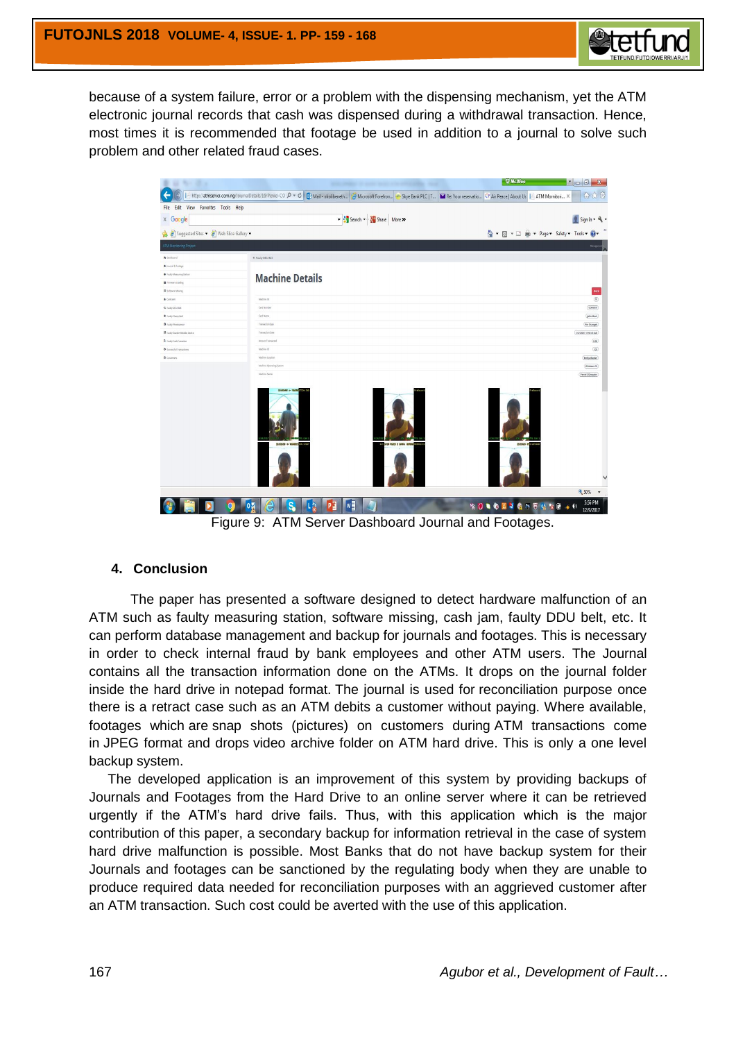

because of a system failure, error or a problem with the dispensing mechanism, yet the ATM electronic journal records that cash was dispensed during a withdrawal transaction. Hence, most times it is recommended that footage be used in addition to a journal to solve such problem and other related fraud cases.

|                                       |                                                                                                                                                                                                                                 | <b>W</b> McAfee<br>$\begin{array}{c c c c c} \hline \bullet & \bullet & \bullet & \bullet \end{array}$ |
|---------------------------------------|---------------------------------------------------------------------------------------------------------------------------------------------------------------------------------------------------------------------------------|--------------------------------------------------------------------------------------------------------|
|                                       | http://atmserver.com.ng/JournalDetails/16/Peniel-CO_ $\bigcirc \circ \bigcirc \bigcirc$   O1 Mail - okolibeneth   Microsoft Forefron  <> Skye Bank PLC   T   M Re: Your reservatio  27 Air Peace   About Us     ATM Mornitori X | 价方线                                                                                                    |
| File Edit View Favorites Tools Help   |                                                                                                                                                                                                                                 |                                                                                                        |
| x Google                              | Search . Note More 2                                                                                                                                                                                                            | $\frac{1}{2}$ Sign In $\cdot$ $\frac{1}{2}$ $\cdot$                                                    |
| Suggested Sites . a Web Slice Gallery |                                                                                                                                                                                                                                 |                                                                                                        |
| ATM Monitoring Project                |                                                                                                                                                                                                                                 |                                                                                                        |
| A Gashboard                           | < Faulty DOU Belt                                                                                                                                                                                                               |                                                                                                        |
| · jamid & Festage                     |                                                                                                                                                                                                                                 |                                                                                                        |
| · Fasily Measuring Station            |                                                                                                                                                                                                                                 |                                                                                                        |
| <b>E</b> Internasy Loading            | <b>Machine Details</b>                                                                                                                                                                                                          |                                                                                                        |
| <b>B</b> Solvens Moore                |                                                                                                                                                                                                                                 | Back                                                                                                   |
| 4 Colviers                            | Madrina (D)                                                                                                                                                                                                                     | $\begin{array}{c} \boxed{15} \end{array}$                                                              |
| & fasts 000 field                     | Certi Number                                                                                                                                                                                                                    | (13667)                                                                                                |
| # Tashy Clerg Bob                     | Ced News                                                                                                                                                                                                                        | (John Mark)                                                                                            |
| <b>O</b> Fasts Photogeneor            | Transaction Figure                                                                                                                                                                                                              | Fin Changed                                                                                            |
| <b>B</b> Tasily Stader Module Device  | Transaction Date                                                                                                                                                                                                                | 7/27/2017 11:57:41 AM                                                                                  |
| B lasty Celt Constant                 | Amount Transacted                                                                                                                                                                                                               | (1.00)                                                                                                 |
| + Successful francazione              | Malvin ID                                                                                                                                                                                                                       | $\overline{u}$                                                                                         |
| <b>O</b> Customers                    | Mathine Location                                                                                                                                                                                                                | <b>Dodija Ibadan</b>                                                                                   |
|                                       | Madrin Operating System                                                                                                                                                                                                         | <b>Birdows 10</b>                                                                                      |
|                                       | Madone Name<br>$m$ ences + mone                                                                                                                                                                                                 | <b>Period COmputer</b><br><b>SHOWN PN LYING</b>                                                        |
|                                       |                                                                                                                                                                                                                                 | € 50% ▼                                                                                                |
| 0 <sub>X</sub>                        | M<br>P <sup>3</sup><br>$\frac{1}{2}$ 3<br>ज                                                                                                                                                                                     | 5:56 PM<br><b>6 3 W 0</b><br>12/9/2017                                                                 |

Figure 9: ATM Server Dashboard Journal and Footages.

### **4. Conclusion**

The paper has presented a software designed to detect hardware malfunction of an ATM such as faulty measuring station, software missing, cash jam, faulty DDU belt, etc. It can perform database management and backup for journals and footages. This is necessary in order to check internal fraud by bank employees and other ATM users. The Journal contains all the transaction information done on the ATMs. It drops on the journal folder inside the hard drive in notepad format. The journal is used for reconciliation purpose once there is a retract case such as an ATM debits a customer without paying. Where available, footages which are snap shots (pictures) on customers during ATM transactions come in JPEG format and drops video archive folder on ATM hard drive. This is only a one level backup system.

 The developed application is an improvement of this system by providing backups of Journals and Footages from the Hard Drive to an online server where it can be retrieved urgently if the ATM's hard drive fails. Thus, with this application which is the major contribution of this paper, a secondary backup for information retrieval in the case of system hard drive malfunction is possible. Most Banks that do not have backup system for their Journals and footages can be sanctioned by the regulating body when they are unable to produce required data needed for reconciliation purposes with an aggrieved customer after an ATM transaction. Such cost could be averted with the use of this application.